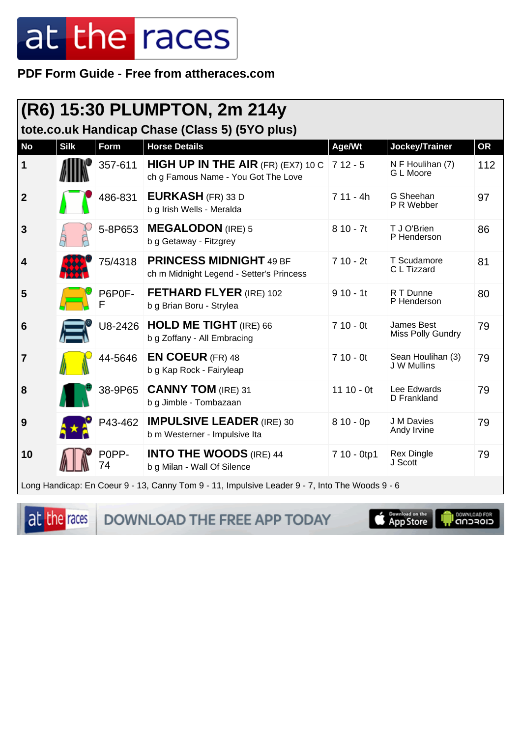## at the races

PDF Form Guide - Free from attheraces.com

| (R6) 15:30 PLUMPTON, 2m 214y                                                                   |             |             |                                                                                  |             |                                        |           |  |  |  |  |  |
|------------------------------------------------------------------------------------------------|-------------|-------------|----------------------------------------------------------------------------------|-------------|----------------------------------------|-----------|--|--|--|--|--|
| tote.co.uk Handicap Chase (Class 5) (5YO plus)                                                 |             |             |                                                                                  |             |                                        |           |  |  |  |  |  |
| <b>No</b>                                                                                      | <b>Silk</b> | Form        | <b>Horse Details</b>                                                             | Age/Wt      | Jockey/Trainer                         | <b>OR</b> |  |  |  |  |  |
| 1                                                                                              |             | 357-611     | <b>HIGH UP IN THE AIR (FR) (EX7) 10 C</b><br>ch g Famous Name - You Got The Love | $712 - 5$   | N F Houlihan (7)<br>G L Moore          | 112       |  |  |  |  |  |
| $\boldsymbol{2}$                                                                               |             | 486-831     | <b>EURKASH</b> (FR) 33 D<br>b g Irish Wells - Meralda                            | $711 - 4h$  | G Sheehan<br>P R Webber                | 97        |  |  |  |  |  |
| 3                                                                                              |             | 5-8P653     | <b>MEGALODON</b> (IRE) 5<br>b g Getaway - Fitzgrey                               | $810 - 7t$  | T J O'Brien<br>P Henderson             | 86        |  |  |  |  |  |
| 4                                                                                              |             | 75/4318     | <b>PRINCESS MIDNIGHT 49 BF</b><br>ch m Midnight Legend - Setter's Princess       | $710 - 2t$  | T Scudamore<br>C L Tizzard             | 81        |  |  |  |  |  |
| 5                                                                                              |             | P6P0F-<br>F | <b>FETHARD FLYER (IRE) 102</b><br>b g Brian Boru - Strylea                       | $910 - 11$  | R T Dunne<br>P Henderson               | 80        |  |  |  |  |  |
| 6                                                                                              |             | U8-2426     | <b>HOLD ME TIGHT (IRE) 66</b><br>b g Zoffany - All Embracing                     | $710 - 0t$  | James Best<br><b>Miss Polly Gundry</b> | 79        |  |  |  |  |  |
| $\overline{7}$                                                                                 |             | 44-5646     | <b>EN COEUR</b> (FR) 48<br>b g Kap Rock - Fairyleap                              | $710 - 0t$  | Sean Houlihan (3)<br>J W Mullins       | 79        |  |  |  |  |  |
| 8                                                                                              |             | 38-9P65     | <b>CANNY TOM</b> (IRE) 31<br>b g Jimble - Tombazaan                              | 11 10 - 0t  | Lee Edwards<br>D Frankland             | 79        |  |  |  |  |  |
| 9                                                                                              |             | P43-462     | <b>IMPULSIVE LEADER (IRE) 30</b><br>b m Westerner - Impulsive Ita                | $810 - 0p$  | J M Davies<br>Andy Irvine              | 79        |  |  |  |  |  |
| 10                                                                                             |             | P0PP-<br>74 | <b>INTO THE WOODS</b> (IRE) 44<br>b g Milan - Wall Of Silence                    | 7 10 - 0tp1 | <b>Rex Dingle</b><br>J Scott           | 79        |  |  |  |  |  |
| Long Handicap: En Coeur 9 - 13, Canny Tom 9 - 11, Impulsive Leader 9 - 7, Into The Woods 9 - 6 |             |             |                                                                                  |             |                                        |           |  |  |  |  |  |

at the races

DOWNLOAD THE FREE APP TODAY

**Completed on the**<br>**App Store** 

**I DOWNLOAD FOR**